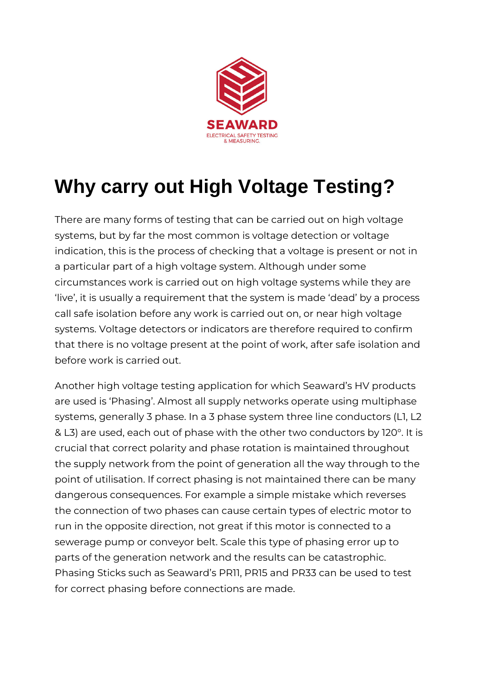

## **Why carry out High Voltage Testing?**

There are many forms of testing that can be carried out on high voltage systems, but by far the most common is voltage detection or voltage indication, this is the process of checking that a voltage is present or not in a particular part of a high voltage system. Although under some circumstances work is carried out on high voltage systems while they are 'live', it is usually a requirement that the system is made 'dead' by a process call safe isolation before any work is carried out on, or near high voltage systems. Voltage detectors or indicators are therefore required to confirm that there is no voltage present at the point of work, after safe isolation and before work is carried out.

Another high voltage testing application for which Seaward's HV products are used is 'Phasing'. Almost all supply networks operate using multiphase systems, generally 3 phase. In a 3 phase system three line conductors (L1, L2 & L3) are used, each out of phase with the other two conductors by 120°. It is crucial that correct polarity and phase rotation is maintained throughout the supply network from the point of generation all the way through to the point of utilisation. If correct phasing is not maintained there can be many dangerous consequences. For example a simple mistake which reverses the connection of two phases can cause certain types of electric motor to run in the opposite direction, not great if this motor is connected to a sewerage pump or conveyor belt. Scale this type of phasing error up to parts of the generation network and the results can be catastrophic. Phasing Sticks such as Seaward's PR11, PR15 and PR33 can be used to test for correct phasing before connections are made.